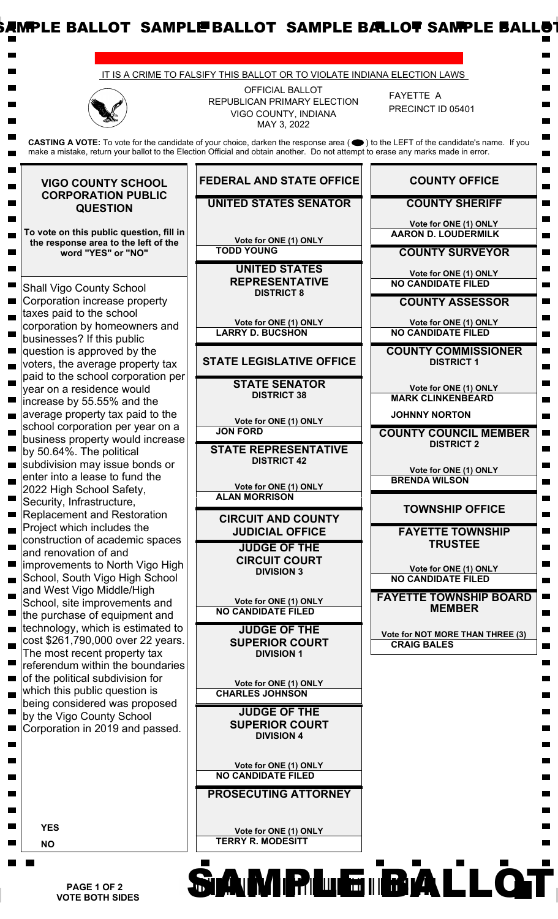

 **PAGE 1 OF 2 VOTE BOTH SIDES**